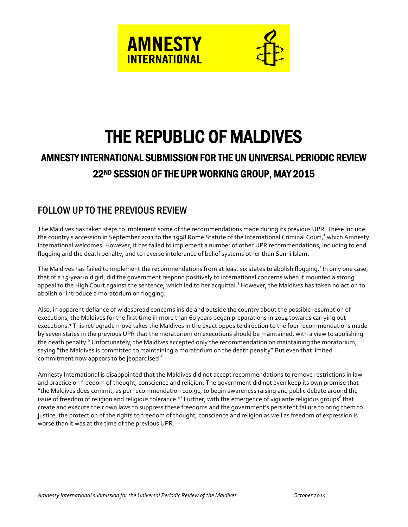



# THE REPUBLIC OF MALDIVES

## AMNESTY INTERNATIONAL SUBMISSION FOR THE UN UNIVERSAL PERIODIC REVIEW 22ND SESSION OF THE UPR WORKING GROUP, MAY 2015

## FOLLOW UP TO THE PREVIOUS REVIEW

The Maldives has taken steps to implement some of the recommendations made during its previous UPR. These include the country's accession in September 2011 to the 1998 Rome Statute of the International Criminal Court,<sup>1</sup> which Amnesty International welcomes. However, it has failed to implement a number of other UPR recommendations, including to end flogging and the death penalty, and to reverse intolerance of belief systems other than Sunni Islam.

The Maldives has failed to implement the recommendations from at least six states to abolish flogging.<sup>2</sup> In only one case, that of a 15-year-old girl, did the government respond positively to international concerns when it mounted a strong appeal to the High Court against the sentence, which led to her acquittal.<sup>3</sup> However, the Maldives has taken no action to abolish or introduce a moratorium on flogging.

Also, in apparent defiance of widespread concerns inside and outside the country about the possible resumption of executions, the Maldives for the first time in more than 60 years began preparations in 2014 towards carrying out executions.<sup>4</sup> This retrograde move takes the Maldives in the exact opposite direction to the four recommendations made by seven states in the previous UPR that the moratorium on executions should be maintained, with a view to abolishing the death penalty.<sup>5</sup> Unfortunately, the Maldives accepted only the recommendation on maintaining the moratorium, saying "the Maldives is committed to maintaining a moratorium on the death penalty" But even that limited commitment now appears to be jeopardised'<sup>6</sup>

Amnesty International is disappointed that the Maldives did not accept recommendations to remove restrictions in law and practice on freedom of thought, conscience and religion. The government did not even keep its own promise that "the Maldives does commit, as per recommendation 100.91, to begin awareness raising and public debate around the issue of freedom of religion and religious tolerance." $^7$  Further, with the emergence of vigilante religious groups $^8$  that create and execute their own laws to suppress these freedoms and the government's persistent failure to bring them to justice, the protection of the rights to freedom of thought, conscience and religion as well as freedom of expression is worse than it was at the time of the previous UPR.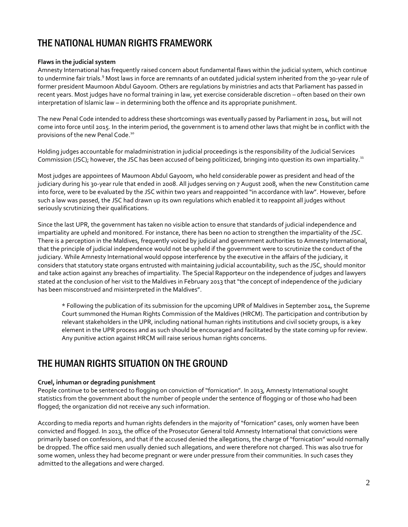## THE NATIONAL HUMAN RIGHTS FRAMEWORK

#### **Flaws in the judicial system**

Amnesty International has frequently raised concern about fundamental flaws within the judicial system, which continue to undermine fair trials.<sup>9</sup> Most laws in force are remnants of an outdated judicial system inherited from the 30-year rule of former president Maumoon Abdul Gayoom. Others are regulations by ministries and acts that Parliament has passed in recent years. Most judges have no formal training in law, yet exercise considerable discretion – often based on their own interpretation of Islamic law – in determining both the offence and its appropriate punishment.

The new Penal Code intended to address these shortcomings was eventually passed by Parliament in 2014, but will not come into force until 2015. In the interim period, the government is to amend other laws that might be in conflict with the provisions of the new Penal Code.<sup>10</sup>

Holding judges accountable for maladministration in judicial proceedings is the responsibility of the Judicial Services Commission (JSC); however, the JSC has been accused of being politicized, bringing into question its own impartiality.<sup>11</sup>

Most judges are appointees of Maumoon Abdul Gayoom, who held considerable power as president and head of the judiciary during his 30-year rule that ended in 2008. All judges serving on 7 August 2008, when the new Constitution came into force, were to be evaluated by the JSC within two years and reappointed "in accordance with law". However, before such a law was passed, the JSC had drawn up its own regulations which enabled it to reappoint all judges without seriously scrutinizing their qualifications.

Since the last UPR, the government has taken no visible action to ensure that standards of judicial independence and impartiality are upheld and monitored. For instance, there has been no action to strengthen the impartiality of the JSC. There is a perception in the Maldives, frequently voiced by judicial and government authorities to Amnesty International, that the principle of judicial independence would not be upheld if the government were to scrutinize the conduct of the judiciary. While Amnesty International would oppose interference by the executive in the affairs of the judiciary, it considers that statutory state organs entrusted with maintaining judicial accountability, such as the JSC, should monitor and take action against any breaches of impartiality. The Special Rapporteur on the independence of judges and lawyers stated at the conclusion of her visit to the Maldives in February 2013 that "the concept of independence of the judiciary has been misconstrued and misinterpreted in the Maldives".

\* Following the publication of its submission for the upcoming UPR of Maldives in September 2014, the Supreme Court summoned the Human Rights Commission of the Maldives (HRCM). The participation and contribution by relevant stakeholders in the UPR, including national human rights institutions and civil society groups, is a key element in the UPR process and as such should be encouraged and facilitated by the state coming up for review. Any punitive action against HRCM will raise serious human rights concerns.

## THE HUMAN RIGHTS SITUATION ON THE GROUND

#### **Cruel, inhuman or degrading punishment**

People continue to be sentenced to flogging on conviction of "fornication". In 2013, Amnesty International sought statistics from the government about the number of people under the sentence of flogging or of those who had been flogged; the organization did not receive any such information.

According to media reports and human rights defenders in the majority of "fornication" cases, only women have been convicted and flogged. In 2013, the office of the Prosecutor General told Amnesty International that convictions were primarily based on confessions, and that if the accused denied the allegations, the charge of "fornication" would normally be dropped. The office said men usually denied such allegations, and were therefore not charged. This was also true for some women, unless they had become pregnant or were under pressure from their communities. In such cases they admitted to the allegations and were charged.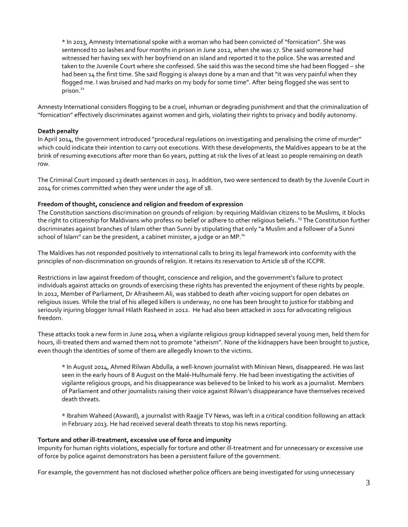\* In 2013, Amnesty International spoke with a woman who had been convicted of "fornication". She was sentenced to 20 lashes and four months in prison in June 2012, when she was 17. She said someone had witnessed her having sex with her boyfriend on an island and reported it to the police. She was arrested and taken to the Juvenile Court where she confessed. She said this was the second time she had been flogged – she had been 14 the first time. She said flogging is always done by a man and that "it was very painful when they flogged me. I was bruised and had marks on my body for some time". After being flogged she was sent to prison.<sup>12</sup>

Amnesty International considers flogging to be a cruel, inhuman or degrading punishment and that the criminalization of "fornication" effectively discriminates against women and girls, violating their rights to privacy and bodily autonomy.

#### **Death penalty**

In April 2014, the government introduced "procedural regulations on investigating and penalising the crime of murder" which could indicate their intention to carry out executions. With these developments, the Maldives appears to be at the brink of resuming executions after more than 60 years, putting at risk the lives of at least 20 people remaining on death row.

The Criminal Court imposed 13 death sentences in 2013. In addition, two were sentenced to death by the Juvenile Court in 2014 for crimes committed when they were under the age of 18.

#### **Freedom of thought, conscience and religion and freedom of expression**

The Constitution sanctions discrimination on grounds of religion: by requiring Maldivian citizens to be Muslims, it blocks the right to citizenship for Maldivians who profess no belief or adhere to other religious beliefs.. <sup>13</sup> The Constitution further discriminates against branches of Islam other than Sunni by stipulating that only "a Muslim and a follower of a Sunni school of Islam" can be the president, a cabinet minister, a judge or an MP. $^{14}$ 

The Maldives has not responded positively to international calls to bring its legal framework into conformity with the principles of non-discrimination on grounds of religion. It retains its reservation to Article 18 of the ICCPR.

Restrictions in law against freedom of thought, conscience and religion, and the government's failure to protect individuals against attacks on grounds of exercising these rights has prevented the enjoyment of these rights by people. In 2012, Member of Parliament, Dr Afrasheem Ali, was stabbed to death after voicing support for open debates on religious issues. While the trial of his alleged killers is underway, no one has been brought to justice for stabbing and seriously injuring blogger Ismail Hilath Rasheed in 2012. He had also been attacked in 2011 for advocating religious freedom.

These attacks took a new form in June 2014 when a vigilante religious group kidnapped several young men, held them for hours, ill-treated them and warned them not to promote "atheism". None of the kidnappers have been brought to justice, even though the identities of some of them are allegedly known to the victims.

\* In August 2014, Ahmed Rilwan Abdulla, a well-known journalist with Minivan News, disappeared. He was last seen in the early hours of 8 August on the Malé-Hulhumalé ferry. He had been investigating the activities of vigilante religious groups, and his disappearance was believed to be linked to his work as a journalist. Members of Parliament and other journalists raising their voice against Rilwan's disappearance have themselves received death threats.

\* Ibrahim Waheed (Asward), a journalist with Raajje TV News, was left in a critical condition following an attack in February 2013. He had received several death threats to stop his news reporting.

#### **Torture and other ill-treatment, excessive use of force and impunity**

Impunity for human rights violations, especially for torture and other ill-treatment and for unnecessary or excessive use of force by police against demonstrators has been a persistent failure of the government.

For example, the government has not disclosed whether police officers are being investigated for using unnecessary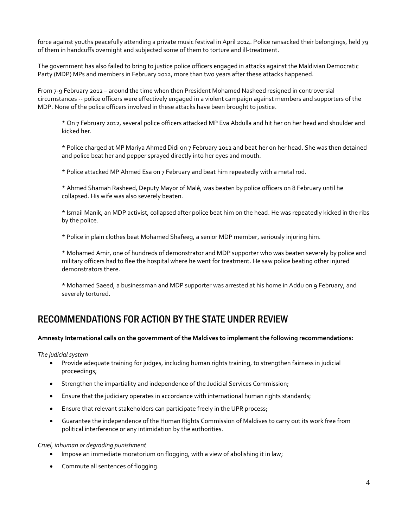force against youths peacefully attending a private music festival in April 2014. Police ransacked their belongings, held 79 of them in handcuffs overnight and subjected some of them to torture and ill-treatment.

The government has also failed to bring to justice police officers engaged in attacks against the Maldivian Democratic Party (MDP) MPs and members in February 2012, more than two years after these attacks happened.

From 7-9 February 2012 – around the time when then President Mohamed Nasheed resigned in controversial circumstances -- police officers were effectively engaged in a violent campaign against members and supporters of the MDP. None of the police officers involved in these attacks have been brought to justice.

\* On 7 February 2012, several police officers attacked MP Eva Abdulla and hit her on her head and shoulder and kicked her.

\* Police charged at MP Mariya Ahmed Didi on 7 February 2012 and beat her on her head. She was then detained and police beat her and pepper sprayed directly into her eyes and mouth.

\* Police attacked MP Ahmed Esa on 7 February and beat him repeatedly with a metal rod.

\* Ahmed Shamah Rasheed, Deputy Mayor of Malé, was beaten by police officers on 8 February until he collapsed. His wife was also severely beaten.

\* Ismail Manik, an MDP activist, collapsed after police beat him on the head. He was repeatedly kicked in the ribs by the police.

\* Police in plain clothes beat Mohamed Shafeeg, a senior MDP member, seriously injuring him.

\* Mohamed Amir, one of hundreds of demonstrator and MDP supporter who was beaten severely by police and military officers had to flee the hospital where he went for treatment. He saw police beating other injured demonstrators there.

\* Mohamed Saeed, a businessman and MDP supporter was arrested at his home in Addu on 9 February, and severely tortured.

### RECOMMENDATIONS FOR ACTION BY THE STATE UNDER REVIEW

#### **Amnesty International calls on the government of the Maldives to implement the following recommendations:**

*The judicial system*

- Provide adequate training for judges, including human rights training, to strengthen fairness in judicial proceedings;
- **•** Strengthen the impartiality and independence of the Judicial Services Commission;
- Ensure that the judiciary operates in accordance with international human rights standards;
- **Ensure that relevant stakeholders can participate freely in the UPR process;**
- Guarantee the independence of the Human Rights Commission of Maldives to carry out its work free from political interference or any intimidation by the authorities.

*Cruel, inhuman or degrading punishment*

- Impose an immediate moratorium on flogging, with a view of abolishing it in law;
- Commute all sentences of flogging.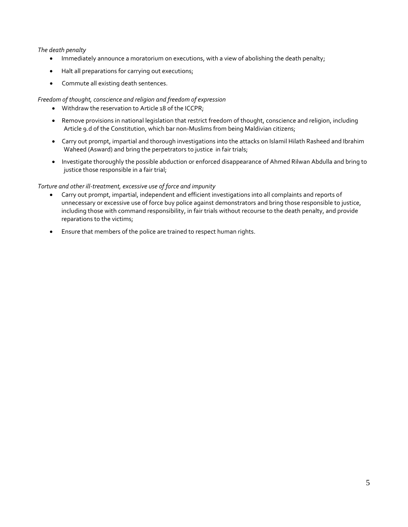#### *The death penalty*

- Immediately announce a moratorium on executions, with a view of abolishing the death penalty;
- Halt all preparations for carrying out executions;
- Commute all existing death sentences.

#### *Freedom of thought, conscience and religion and freedom of expression*

- Withdraw the reservation to Article 18 of the ICCPR;
- Remove provisions in national legislation that restrict freedom of thought, conscience and religion, including Article 9.d of the Constitution, which bar non-Muslims from being Maldivian citizens;
- Carry out prompt, impartial and thorough investigations into the attacks on Islamil Hilath Rasheed and Ibrahim Waheed (Asward) and bring the perpetrators to justice in fair trials;
- Investigate thoroughly the possible abduction or enforced disappearance of Ahmed Rilwan Abdulla and bring to justice those responsible in a fair trial;

#### *Torture and other ill-treatment, excessive use of force and impunity*

- Carry out prompt, impartial, independent and efficient investigations into all complaints and reports of unnecessary or excessive use of force buy police against demonstrators and bring those responsible to justice, including those with command responsibility, in fair trials without recourse to the death penalty, and provide reparations to the victims;
- Ensure that members of the police are trained to respect human rights.